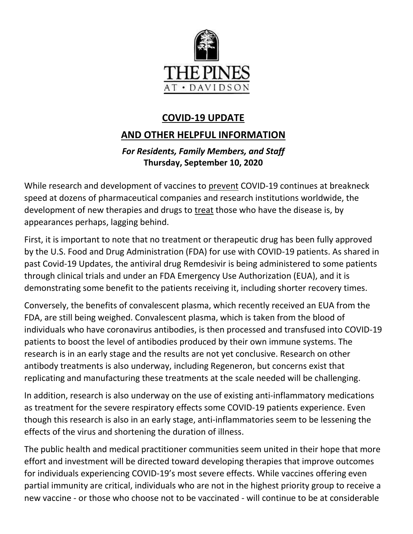

# **COVID-19 UPDATE**

## **AND OTHER HELPFUL INFORMATION**

## *For Residents, Family Members, and Staff* **Thursday, September 10, 2020**

While research and development of vaccines to prevent COVID-19 continues at breakneck speed at dozens of pharmaceutical companies and research institutions worldwide, the development of new therapies and drugs to treat those who have the disease is, by appearances perhaps, lagging behind.

First, it is important to note that no treatment or therapeutic drug has been fully approved by the U.S. Food and Drug Administration (FDA) for use with COVID-19 patients. As shared in past Covid-19 Updates, the antiviral drug Remdesivir is being administered to some patients through clinical trials and under an FDA Emergency Use Authorization (EUA), and it is demonstrating some benefit to the patients receiving it, including shorter recovery times.

Conversely, the benefits of convalescent plasma, which recently received an EUA from the FDA, are still being weighed. Convalescent plasma, which is taken from the blood of individuals who have coronavirus antibodies, is then processed and transfused into COVID-19 patients to boost the level of antibodies produced by their own immune systems. The research is in an early stage and the results are not yet conclusive. Research on other antibody treatments is also underway, including Regeneron, but concerns exist that replicating and manufacturing these treatments at the scale needed will be challenging.

In addition, research is also underway on the use of existing anti-inflammatory medications as treatment for the severe respiratory effects some COVID-19 patients experience. Even though this research is also in an early stage, anti-inflammatories seem to be lessening the effects of the virus and shortening the duration of illness.

The public health and medical practitioner communities seem united in their hope that more effort and investment will be directed toward developing therapies that improve outcomes for individuals experiencing COVID-19's most severe effects. While vaccines offering even partial immunity are critical, individuals who are not in the highest priority group to receive a new vaccine - or those who choose not to be vaccinated - will continue to be at considerable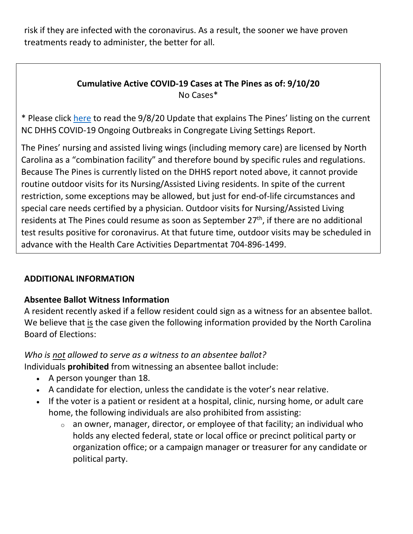risk if they are infected with the coronavirus. As a result, the sooner we have proven treatments ready to administer, the better for all.

## **Cumulative Active COVID-19 Cases at The Pines as of: 9/10/20** No Cases\*

\* Please click [here](https://www.mycommunity-center.com/filephotos/463/COVID-19%20Update%209-8-2020.pdf) to read the 9/8/20 Update that explains The Pines' listing on the current NC DHHS COVID-19 Ongoing Outbreaks in Congregate Living Settings Report.

The Pines' nursing and assisted living wings (including memory care) are licensed by North Carolina as a "combination facility" and therefore bound by specific rules and regulations. Because The Pines is currently listed on the DHHS report noted above, it cannot provide routine outdoor visits for its Nursing/Assisted Living residents. In spite of the current restriction, some exceptions may be allowed, but just for end-of-life circumstances and special care needs certified by a physician. Outdoor visits for Nursing/Assisted Living residents at The Pines could resume as soon as September  $27<sup>th</sup>$ , if there are no additional test results positive for coronavirus. At that future time, outdoor visits may be scheduled in advance with the Health Care Activities Departmentat 704-896-1499.

## **ADDITIONAL INFORMATION**

## **Absentee Ballot Witness Information**

A resident recently asked if a fellow resident could sign as a witness for an absentee ballot. We believe that is the case given the following information provided by the North Carolina Board of Elections:

## *Who is not allowed to serve as a witness to an absentee ballot?*

Individuals **prohibited** from witnessing an absentee ballot include:

- A person younger than 18.
- A candidate for election, unless the candidate is the voter's near relative.
- If the voter is a patient or resident at a hospital, clinic, nursing home, or adult care home, the following individuals are also prohibited from assisting:
	- $\circ$  an owner, manager, director, or employee of that facility; an individual who holds any elected federal, state or local office or precinct political party or organization office; or a campaign manager or treasurer for any candidate or political party.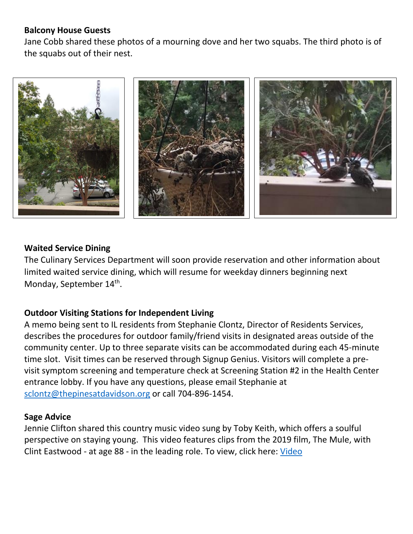## **Balcony House Guests**

Jane Cobb shared these photos of a mourning dove and her two squabs. The third photo is of the squabs out of their nest.



## **Waited Service Dining**

The Culinary Services Department will soon provide reservation and other information about limited waited service dining, which will resume for weekday dinners beginning next Monday, September 14<sup>th</sup>.

## **Outdoor Visiting Stations for Independent Living**

A memo being sent to IL residents from Stephanie Clontz, Director of Residents Services, describes the procedures for outdoor family/friend visits in designated areas outside of the community center. Up to three separate visits can be accommodated during each 45-minute time slot. Visit times can be reserved through Signup Genius. Visitors will complete a previsit symptom screening and temperature check at Screening Station #2 in the Health Center entrance lobby. If you have any questions, please email Stephanie at [sclontz@thepinesatdavidson.org](mailto:sclontz@thepinesatdavidson.org) or call 704-896-1454.

#### **Sage Advice**

Jennie Clifton shared this country music video sung by Toby Keith, which offers a soulful perspective on staying young. This video features clips from the 2019 film, The Mule, with Clint Eastwood - at age 88 - in the leading role. To view, click here: [Video](https://youtu.be/5FlwVmYsYUM)